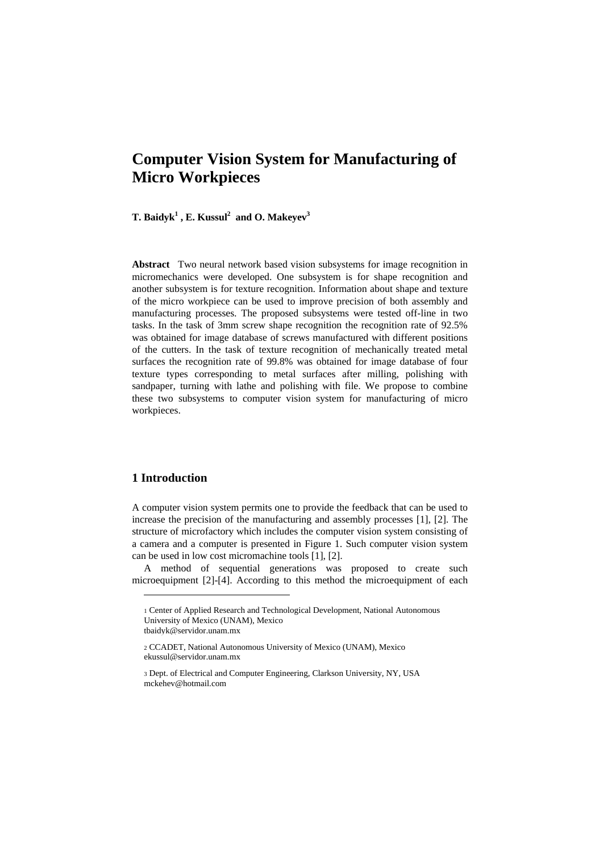#### **T.** Baidyk<sup>1</sup>, E. Kussul<sup>2</sup> and O. Makeyev<sup>3</sup>

**Abstract** Two neural network based vision subsystems for image recognition in micromechanics were developed. One subsystem is for shape recognition and another subsystem is for texture recognition. Information about shape and texture of the micro workpiece can be used to improve precision of both assembly and manufacturing processes. The proposed subsystems were tested off-line in two tasks. In the task of 3mm screw shape recognition the recognition rate of 92.5% was obtained for image database of screws manufactured with different positions of the cutters. In the task of texture recognition of mechanically treated metal surfaces the recognition rate of 99.8% was obtained for image database of four texture types corresponding to metal surfaces after milling, polishing with sandpaper, turning with lathe and polishing with file. We propose to combine these two subsystems to computer vision system for manufacturing of micro workpieces.

### **1 Introduction**

 $\overline{\phantom{a}}$ 

A computer vision system permits one to provide the feedback that can be used to increase the precision of the manufacturing and assembly processes [1], [2]. The structure of microfactory which includes the computer vision system consisting of a camera and a computer is presented in Figure 1. Such computer vision system can be used in low cost micromachine tools [1], [2].

A method of sequential generations was proposed to create such microequipment [2]-[4]. According to this method the microequipment of each

<sup>1</sup> Center of Applied Research and Technological Development, National Autonomous University of Mexico (UNAM), Mexico tbaidyk@servidor.unam.mx

<sup>2</sup> CCADET, National Autonomous University of Mexico (UNAM), Mexico

ekussul@servidor.unam.mx

<sup>3</sup> Dept. of Electrical and Computer Engineering, Clarkson University, NY, USA mckehev@hotmail.com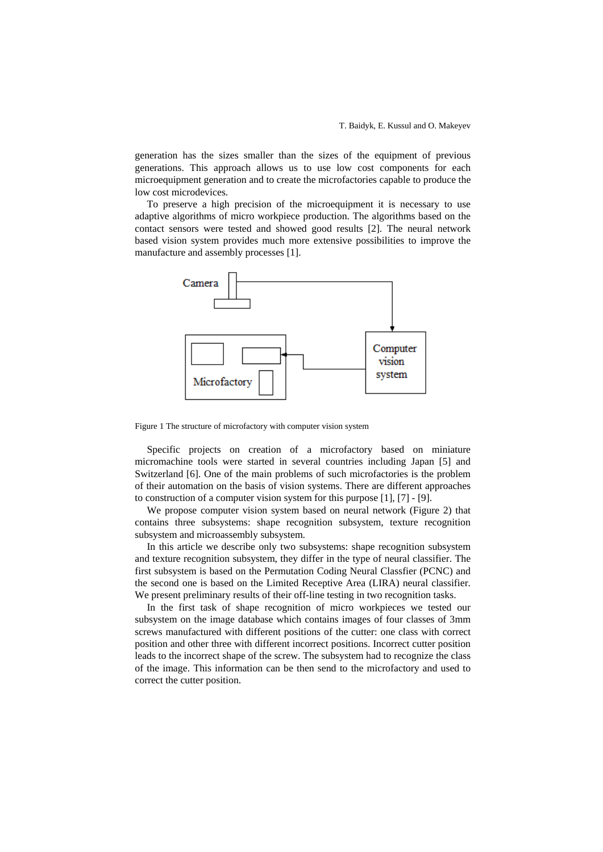generation has the sizes smaller than the sizes of the equipment of previous generations. This approach allows us to use low cost components for each microequipment generation and to create the microfactories capable to produce the low cost microdevices.

To preserve a high precision of the microequipment it is necessary to use adaptive algorithms of micro workpiece production. The algorithms based on the contact sensors were tested and showed good results [2]. The neural network based vision system provides much more extensive possibilities to improve the manufacture and assembly processes [1].



Figure 1 The structure of microfactory with computer vision system

Specific projects on creation of a microfactory based on miniature micromachine tools were started in several countries including Japan [5] and Switzerland [6]. One of the main problems of such microfactories is the problem of their automation on the basis of vision systems. There are different approaches to construction of a computer vision system for this purpose [1], [7] - [9].

We propose computer vision system based on neural network (Figure 2) that contains three subsystems: shape recognition subsystem, texture recognition subsystem and microassembly subsystem.

In this article we describe only two subsystems: shape recognition subsystem and texture recognition subsystem, they differ in the type of neural classifier. The first subsystem is based on the Permutation Coding Neural Classfier (PCNC) and the second one is based on the Limited Receptive Area (LIRA) neural classifier. We present preliminary results of their off-line testing in two recognition tasks.

In the first task of shape recognition of micro workpieces we tested our subsystem on the image database which contains images of four classes of 3mm screws manufactured with different positions of the cutter: one class with correct position and other three with different incorrect positions. Incorrect cutter position leads to the incorrect shape of the screw. The subsystem had to recognize the class of the image. This information can be then send to the microfactory and used to correct the cutter position.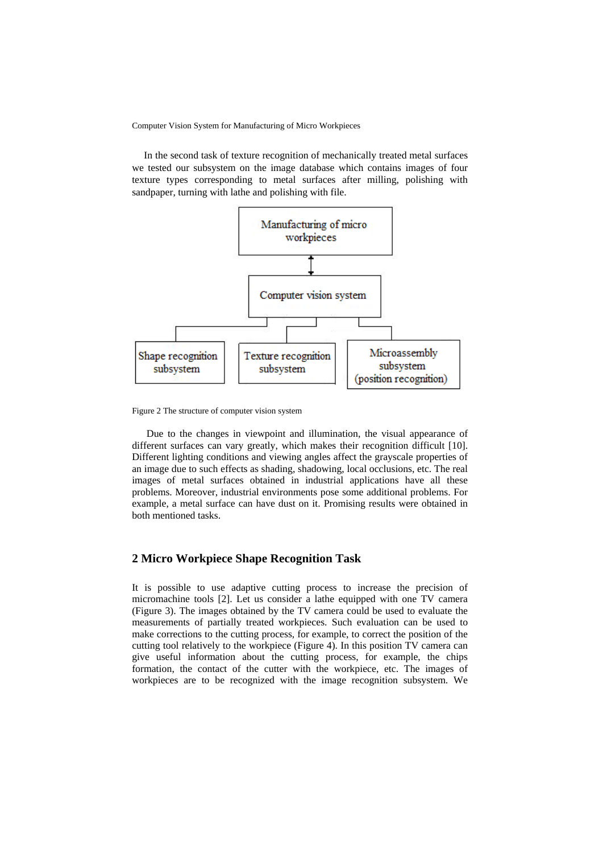In the second task of texture recognition of mechanically treated metal surfaces we tested our subsystem on the image database which contains images of four texture types corresponding to metal surfaces after milling, polishing with sandpaper, turning with lathe and polishing with file.



Figure 2 The structure of computer vision system

 Due to the changes in viewpoint and illumination, the visual appearance of different surfaces can vary greatly, which makes their recognition difficult [10]. Different lighting conditions and viewing angles affect the grayscale properties of an image due to such effects as shading, shadowing, local occlusions, etc. The real images of metal surfaces obtained in industrial applications have all these problems. Moreover, industrial environments pose some additional problems. For example, a metal surface can have dust on it. Promising results were obtained in both mentioned tasks.

#### **2 Micro Workpiece Shape Recognition Task**

It is possible to use adaptive cutting process to increase the precision of micromachine tools [2]. Let us consider a lathe equipped with one TV camera (Figure 3). The images obtained by the TV camera could be used to evaluate the measurements of partially treated workpieces. Such evaluation can be used to make corrections to the cutting process, for example, to correct the position of the cutting tool relatively to the workpiece (Figure 4). In this position TV camera can give useful information about the cutting process, for example, the chips formation, the contact of the cutter with the workpiece, etc. The images of workpieces are to be recognized with the image recognition subsystem. We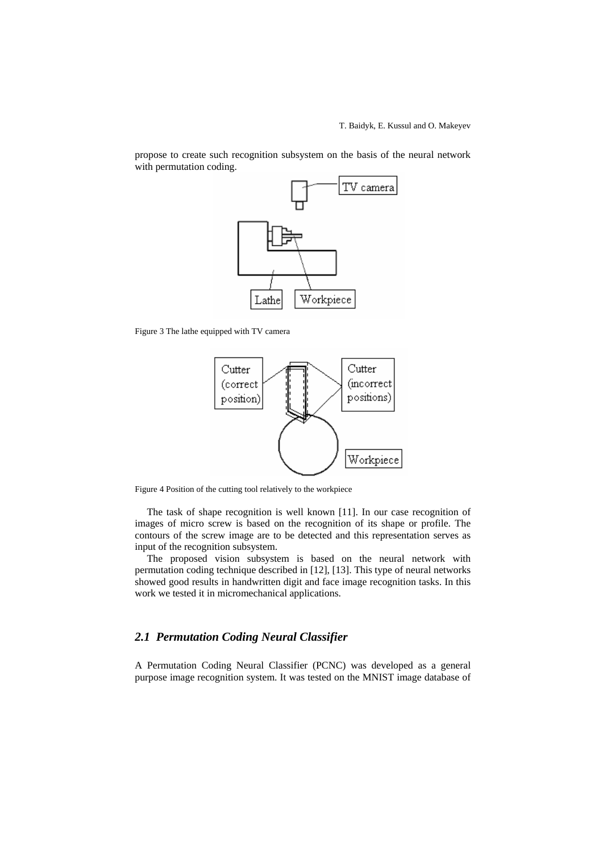propose to create such recognition subsystem on the basis of the neural network with permutation coding.



Figure 3 The lathe equipped with TV camera



Figure 4 Position of the cutting tool relatively to the workpiece

The task of shape recognition is well known [11]. In our case recognition of images of micro screw is based on the recognition of its shape or profile. The contours of the screw image are to be detected and this representation serves as input of the recognition subsystem.

The proposed vision subsystem is based on the neural network with permutation coding technique described in [12], [13]. This type of neural networks showed good results in handwritten digit and face image recognition tasks. In this work we tested it in micromechanical applications.

## *2.1 Permutation Coding Neural Classifier*

A Permutation Coding Neural Classifier (PCNC) was developed as a general purpose image recognition system. It was tested on the MNIST image database of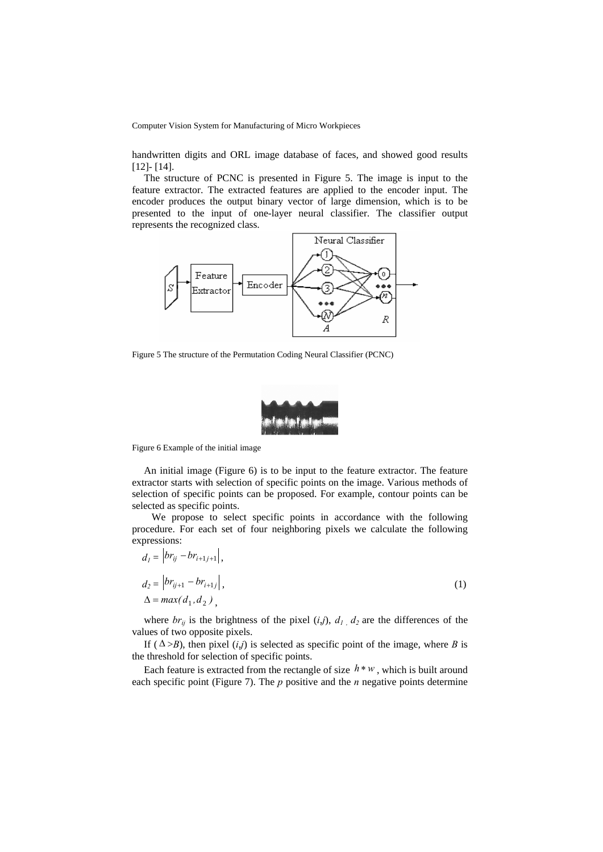handwritten digits and ORL image database of faces, and showed good results [12]- [14].

The structure of PCNC is presented in Figure 5. The image is input to the feature extractor. The extracted features are applied to the encoder input. The encoder produces the output binary vector of large dimension, which is to be presented to the input of one-layer neural classifier. The classifier output represents the recognized class.



Figure 5 The structure of the Permutation Coding Neural Classifier (PCNC)



Figure 6 Example of the initial image

An initial image (Figure 6) is to be input to the feature extractor. The feature extractor starts with selection of specific points on the image. Various methods of selection of specific points can be proposed. For example, contour points can be selected as specific points.

 We propose to select specific points in accordance with the following procedure. For each set of four neighboring pixels we calculate the following expressions:

$$
d_{1} = |br_{ij} - br_{i+1j+1}|,
$$
  
\n
$$
d_{2} = |br_{ij+1} - br_{i+1j}|,
$$
  
\n
$$
\Delta = max(d_{1}, d_{2}),
$$
\n(1)

where  $br_{ij}$  is the brightness of the pixel  $(i,j)$ ,  $d_1$ ,  $d_2$  are the differences of the values of two opposite pixels.

If  $(\Delta > B)$ , then pixel  $(i,j)$  is selected as specific point of the image, where *B* is the threshold for selection of specific points.

Each feature is extracted from the rectangle of size  $h * w$ , which is built around each specific point (Figure 7). The *p* positive and the *n* negative points determine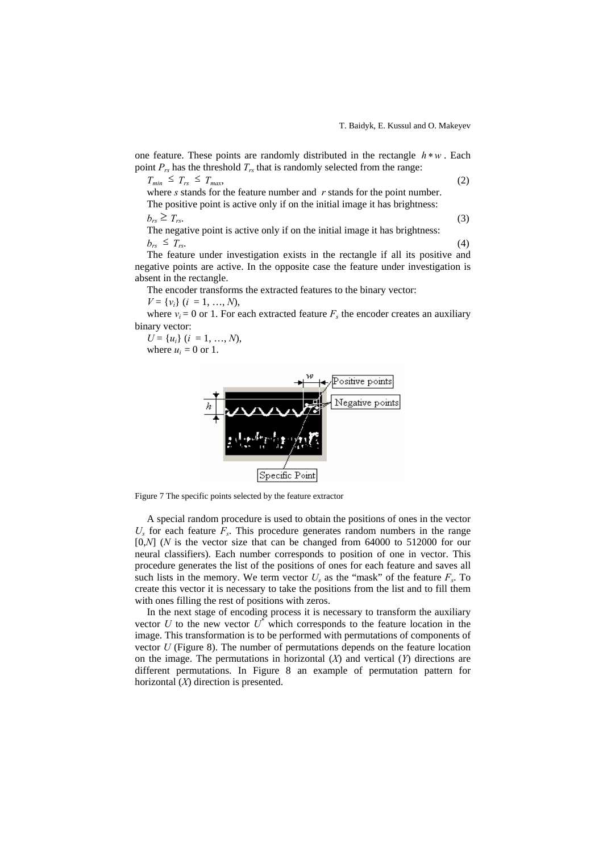one feature. These points are randomly distributed in the rectangle *h* ∗*w* . Each point  $P_{rs}$  has the threshold  $T_{rs}$  that is randomly selected from the range:

 $T_{min} \leq T_{rs} \leq T_{max}$ , (2) where *s* stands for the feature number and *r* stands for the point number.

The positive point is active only if on the initial image it has brightness:

 $b_{rs} \geq T_{rs}.$  (3) The negative point is active only if on the initial image it has brightness:  $b_{rs} \leq T_{rs}$ . (4)

The feature under investigation exists in the rectangle if all its positive and negative points are active. In the opposite case the feature under investigation is absent in the rectangle.

The encoder transforms the extracted features to the binary vector:

 $V = \{v_i\}$  (*i* = 1, …, *N*),

where  $v_i = 0$  or 1. For each extracted feature  $F_s$  the encoder creates an auxiliary binary vector:

 $U = \{u_i\}$  (*i* = 1, ..., *N*), where  $u_i = 0$  or 1.



Figure 7 The specific points selected by the feature extractor

A special random procedure is used to obtain the positions of ones in the vector  $U_s$  for each feature  $F_s$ . This procedure generates random numbers in the range [0,*N*] (*N* is the vector size that can be changed from 64000 to 512000 for our neural classifiers). Each number corresponds to position of one in vector. This procedure generates the list of the positions of ones for each feature and saves all such lists in the memory. We term vector  $U_s$  as the "mask" of the feature  $F_s$ . To create this vector it is necessary to take the positions from the list and to fill them with ones filling the rest of positions with zeros.

In the next stage of encoding process it is necessary to transform the auxiliary vector  $U$  to the new vector  $U^*$  which corresponds to the feature location in the image. This transformation is to be performed with permutations of components of vector *U* (Figure 8). The number of permutations depends on the feature location on the image. The permutations in horizontal (*X*) and vertical (*Y*) directions are different permutations. In Figure 8 an example of permutation pattern for horizontal (*X*) direction is presented.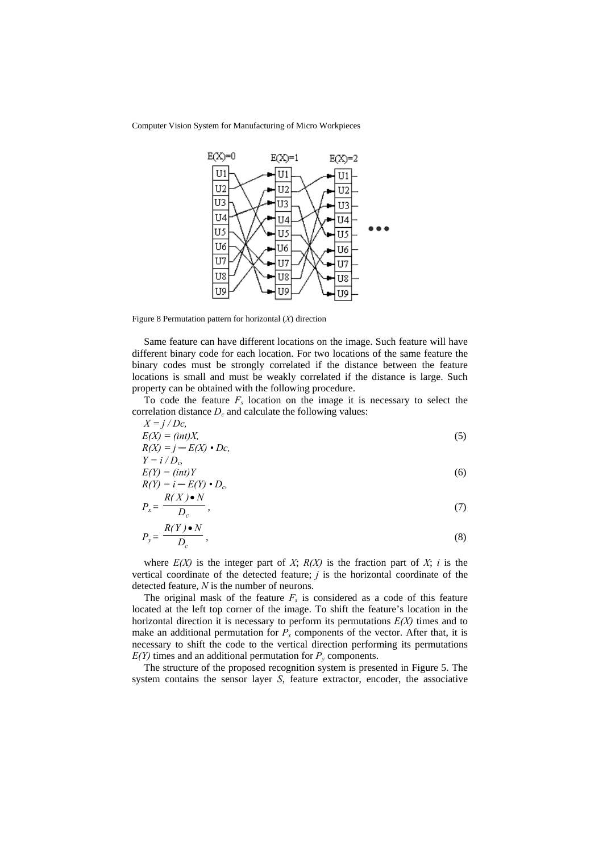

Figure 8 Permutation pattern for horizontal (*X*) direction

Same feature can have different locations on the image. Such feature will have different binary code for each location. For two locations of the same feature the binary codes must be strongly correlated if the distance between the feature locations is small and must be weakly correlated if the distance is large. Such property can be obtained with the following procedure.

To code the feature  $F_s$  location on the image it is necessary to select the correlation distance  $D_c$  and calculate the following values:

$$
X = j / Dc,
$$
  
\n
$$
E(X) = (int)X,
$$
  
\n
$$
R(X) = j - E(X) \cdot Dc,
$$
\n(5)

$$
Y = i/Dc,E(Y) = (int)YR(Y) = i - E(Y) \cdot Dc.
$$
 (6)

$$
P_x = \frac{R(X) \bullet N}{D_c},\tag{7}
$$

$$
P_{y} = \frac{R(Y) \bullet N}{D_{c}}\,,\tag{8}
$$

where  $E(X)$  is the integer part of *X*;  $R(X)$  is the fraction part of *X*; *i* is the vertical coordinate of the detected feature; *j* is the horizontal coordinate of the detected feature, *N* is the number of neurons.

The original mask of the feature  $F<sub>s</sub>$  is considered as a code of this feature located at the left top corner of the image. To shift the feature's location in the horizontal direction it is necessary to perform its permutations  $E(X)$  times and to make an additional permutation for  $P<sub>x</sub>$  components of the vector. After that, it is necessary to shift the code to the vertical direction performing its permutations  $E(Y)$  times and an additional permutation for  $P<sub>y</sub>$  components.

The structure of the proposed recognition system is presented in Figure 5. The system contains the sensor layer *S*, feature extractor, encoder, the associative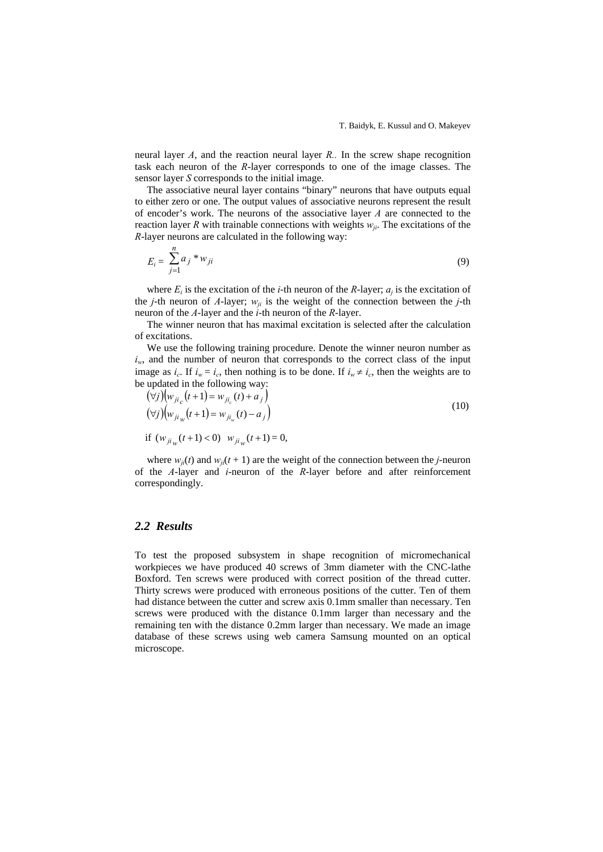neural layer *A*, and the reaction neural layer *R..* In the screw shape recognition task each neuron of the *R*-layer corresponds to one of the image classes. The sensor layer *S* corresponds to the initial image.

The associative neural layer contains "binary" neurons that have outputs equal to either zero or one. The output values of associative neurons represent the result of encoder's work. The neurons of the associative layer *A* are connected to the reaction layer *R* with trainable connections with weights  $w_{ji}$ . The excitations of the *R*-layer neurons are calculated in the following way:

$$
E_i = \sum_{j=1}^{n} a_j \,^* w_{ji} \tag{9}
$$

where  $E_i$  is the excitation of the *i*-th neuron of the *R*-layer;  $a_i$  is the excitation of the *j*-th neuron of *A*-layer;  $w_{ji}$  is the weight of the connection between the *j*-th neuron of the *A*-layer and the *i*-th neuron of the *R*-layer.

The winner neuron that has maximal excitation is selected after the calculation of excitations.

We use the following training procedure. Denote the winner neuron number as  $i_w$ , and the number of neuron that corresponds to the correct class of the input image as  $i_c$ . If  $i_w = i_c$ , then nothing is to be done. If  $i_w \neq i_c$ , then the weights are to be updated in the following way:

$$
(\forall j) (w_{ji_c}(t+1) = w_{ji_c}(t) + a_j)
$$
  
\n
$$
(\forall j) (w_{ji_w}(t+1) = w_{ji_w}(t) - a_j)
$$
  
\nif  $(w_{ji_w}(t+1) < 0)$   $w_{ji_w}(t+1) = 0$ , (10)

where  $w_{ii}(t)$  and  $w_{ii}(t + 1)$  are the weight of the connection between the *j*-neuron of the *A*-layer and *i*-neuron of the *R*-layer before and after reinforcement correspondingly.

## *2.2 Results*

To test the proposed subsystem in shape recognition of micromechanical workpieces we have produced 40 screws of 3mm diameter with the CNC-lathe Boxford. Ten screws were produced with correct position of the thread cutter. Thirty screws were produced with erroneous positions of the cutter. Ten of them had distance between the cutter and screw axis 0.1mm smaller than necessary. Ten screws were produced with the distance 0.1mm larger than necessary and the remaining ten with the distance 0.2mm larger than necessary. We made an image database of these screws using web camera Samsung mounted on an optical microscope.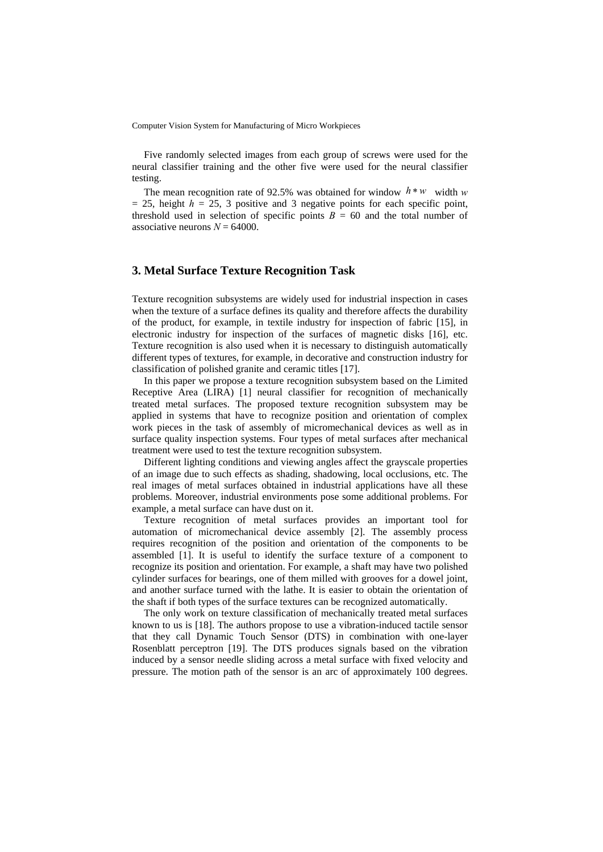Five randomly selected images from each group of screws were used for the neural classifier training and the other five were used for the neural classifier testing.

The mean recognition rate of 92.5% was obtained for window  $h * w$  width *w*  $= 25$ , height  $h = 25$ , 3 positive and 3 negative points for each specific point, threshold used in selection of specific points  $B = 60$  and the total number of associative neurons  $N = 64000$ .

## **3. Metal Surface Texture Recognition Task**

Texture recognition subsystems are widely used for industrial inspection in cases when the texture of a surface defines its quality and therefore affects the durability of the product, for example, in textile industry for inspection of fabric [15], in electronic industry for inspection of the surfaces of magnetic disks [16], etc. Texture recognition is also used when it is necessary to distinguish automatically different types of textures, for example, in decorative and construction industry for classification of polished granite and ceramic titles [17].

In this paper we propose a texture recognition subsystem based on the Limited Receptive Area (LIRA) [1] neural classifier for recognition of mechanically treated metal surfaces. The proposed texture recognition subsystem may be applied in systems that have to recognize position and orientation of complex work pieces in the task of assembly of micromechanical devices as well as in surface quality inspection systems. Four types of metal surfaces after mechanical treatment were used to test the texture recognition subsystem.

Different lighting conditions and viewing angles affect the grayscale properties of an image due to such effects as shading, shadowing, local occlusions, etc. The real images of metal surfaces obtained in industrial applications have all these problems. Moreover, industrial environments pose some additional problems. For example, a metal surface can have dust on it.

Texture recognition of metal surfaces provides an important tool for automation of micromechanical device assembly [2]. The assembly process requires recognition of the position and orientation of the components to be assembled [1]. It is useful to identify the surface texture of a component to recognize its position and orientation. For example, a shaft may have two polished cylinder surfaces for bearings, one of them milled with grooves for a dowel joint, and another surface turned with the lathe. It is easier to obtain the orientation of the shaft if both types of the surface textures can be recognized automatically.

The only work on texture classification of mechanically treated metal surfaces known to us is [18]. The authors propose to use a vibration-induced tactile sensor that they call Dynamic Touch Sensor (DTS) in combination with one-layer Rosenblatt perceptron [19]. The DTS produces signals based on the vibration induced by a sensor needle sliding across a metal surface with fixed velocity and pressure. The motion path of the sensor is an arc of approximately 100 degrees.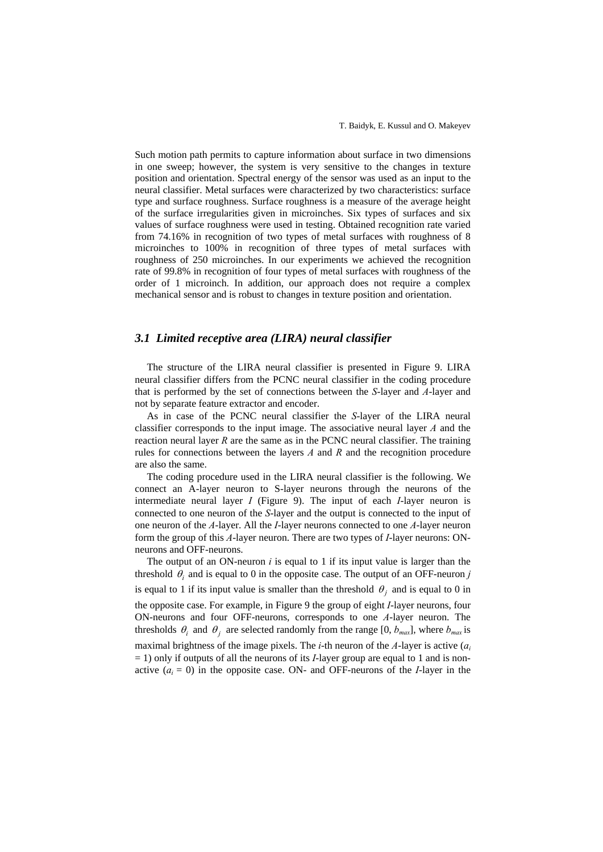T. Baidyk, E. Kussul and O. Makeyev

Such motion path permits to capture information about surface in two dimensions in one sweep; however, the system is very sensitive to the changes in texture position and orientation. Spectral energy of the sensor was used as an input to the neural classifier. Metal surfaces were characterized by two characteristics: surface type and surface roughness. Surface roughness is a measure of the average height of the surface irregularities given in microinches. Six types of surfaces and six values of surface roughness were used in testing. Obtained recognition rate varied from 74.16% in recognition of two types of metal surfaces with roughness of 8 microinches to 100% in recognition of three types of metal surfaces with roughness of 250 microinches. In our experiments we achieved the recognition rate of 99.8% in recognition of four types of metal surfaces with roughness of the order of 1 microinch. In addition, our approach does not require a complex mechanical sensor and is robust to changes in texture position and orientation.

#### *3.1 Limited receptive area (LIRA) neural classifier*

The structure of the LIRA neural classifier is presented in Figure 9. LIRA neural classifier differs from the PCNC neural classifier in the coding procedure that is performed by the set of connections between the *S*-layer and *A*-layer and not by separate feature extractor and encoder.

As in case of the PCNC neural classifier the *S*-layer of the LIRA neural classifier corresponds to the input image. The associative neural layer *A* and the reaction neural layer *R* are the same as in the PCNC neural classifier. The training rules for connections between the layers *A* and *R* and the recognition procedure are also the same.

The coding procedure used in the LIRA neural classifier is the following. We connect an A-layer neuron to S-layer neurons through the neurons of the intermediate neural layer *I* (Figure 9). The input of each *I*-layer neuron is connected to one neuron of the *S*-layer and the output is connected to the input of one neuron of the *A*-layer. All the *I*-layer neurons connected to one *A*-layer neuron form the group of this *A*-layer neuron. There are two types of *I*-layer neurons: ONneurons and OFF-neurons.

The output of an ON-neuron  $i$  is equal to 1 if its input value is larger than the threshold  $\theta_i$  and is equal to 0 in the opposite case. The output of an OFF-neuron *j* is equal to 1 if its input value is smaller than the threshold  $\theta_i$  and is equal to 0 in the opposite case. For example, in Figure 9 the group of eight *I*-layer neurons, four ON-neurons and four OFF-neurons, corresponds to one *A*-layer neuron. The thresholds  $\theta_i$  and  $\theta_j$  are selected randomly from the range [0,  $b_{max}$ ], where  $b_{max}$  is maximal brightness of the image pixels. The *i*-th neuron of the *A*-layer is active (*ai* = 1) only if outputs of all the neurons of its *I*-layer group are equal to 1 and is nonactive  $(a_i = 0)$  in the opposite case. ON- and OFF-neurons of the *I*-layer in the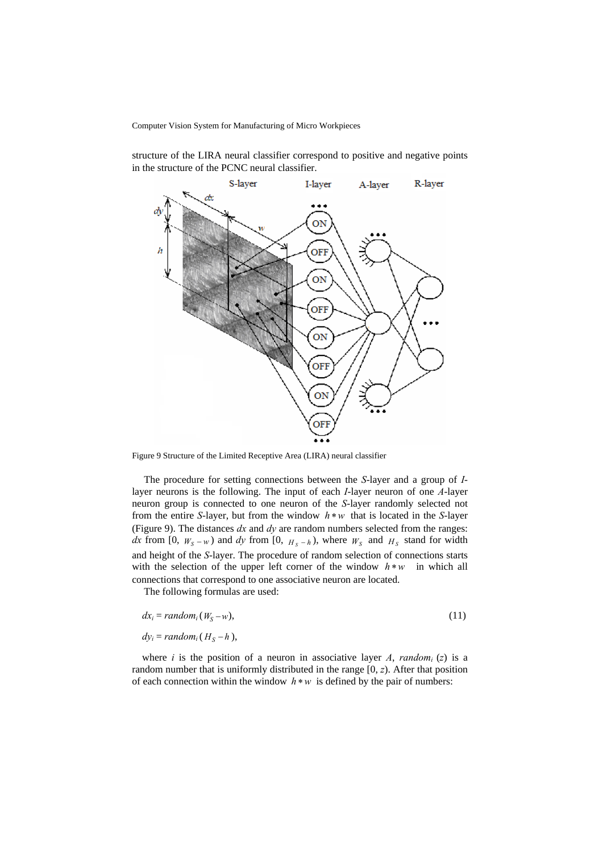structure of the LIRA neural classifier correspond to positive and negative points in the structure of the PCNC neural classifier.



Figure 9 Structure of the Limited Receptive Area (LIRA) neural classifier

The procedure for setting connections between the *S*-layer and a group of *I*layer neurons is the following. The input of each *I*-layer neuron of one *A*-layer neuron group is connected to one neuron of the *S*-layer randomly selected not from the entire *S*-layer, but from the window *h* ∗*w* that is located in the *S*-layer (Figure 9). The distances *dx* and *dy* are random numbers selected from the ranges: *dx* from [0,  $W_s - w$ ) and *dy* from [0,  $H_s - h$ ), where  $W_s$  and  $H_s$  stand for width and height of the *S*-layer. The procedure of random selection of connections starts with the selection of the upper left corner of the window *h* ∗*w* in which all connections that correspond to one associative neuron are located.

The following formulas are used:

$$
dx_i = random_i(W_S - w), \tag{11}
$$

$$
dy_i = random_i (H_S - h),
$$

where *i* is the position of a neuron in associative layer *A*, *random<sub>i</sub>* (*z*) is a random number that is uniformly distributed in the range [0, *z*). After that position of each connection within the window *h* ∗*w* is defined by the pair of numbers: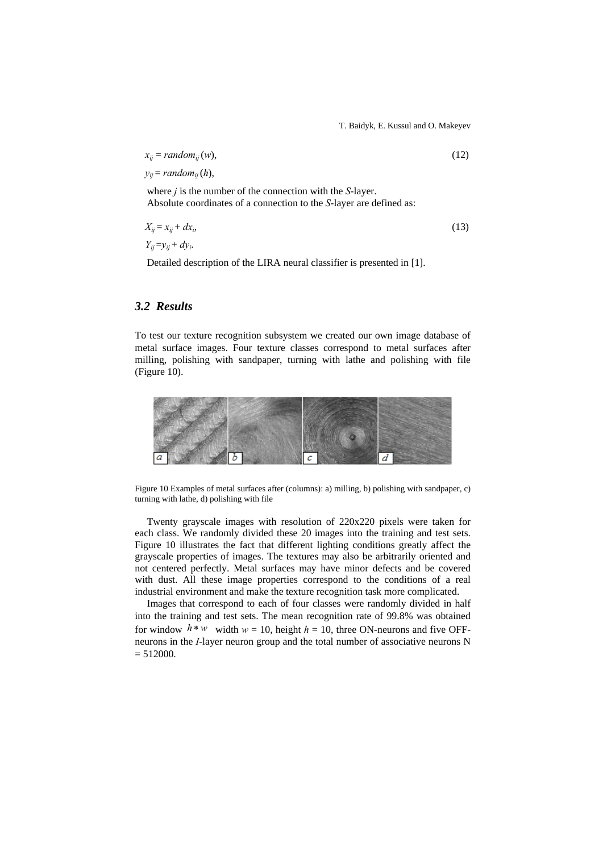$$
x_{ij} = random_{ij}(w),
$$
  
\n
$$
y_{ij} = random_{ij}(h),
$$
\n(12)

where *j* is the number of the connection with the *S*-layer. Absolute coordinates of a connection to the *S*-layer are defined as:

$$
X_{ij} = x_{ij} + dx_i,
$$
  
\n
$$
Y_{ij} = y_{ij} + dy_i.
$$
\n(13)

Detailed description of the LIRA neural classifier is presented in [1].

## *3.2 Results*

To test our texture recognition subsystem we created our own image database of metal surface images. Four texture classes correspond to metal surfaces after milling, polishing with sandpaper, turning with lathe and polishing with file (Figure 10).



Figure 10 Examples of metal surfaces after (columns): a) milling, b) polishing with sandpaper, c) turning with lathe, d) polishing with file

Twenty grayscale images with resolution of 220x220 pixels were taken for each class. We randomly divided these 20 images into the training and test sets. Figure 10 illustrates the fact that different lighting conditions greatly affect the grayscale properties of images. The textures may also be arbitrarily oriented and not centered perfectly. Metal surfaces may have minor defects and be covered with dust. All these image properties correspond to the conditions of a real industrial environment and make the texture recognition task more complicated.

Images that correspond to each of four classes were randomly divided in half into the training and test sets. The mean recognition rate of 99.8% was obtained for window  $h * w$  width  $w = 10$ , height  $h = 10$ , three ON-neurons and five OFFneurons in the *I*-layer neuron group and the total number of associative neurons N  $= 512000.$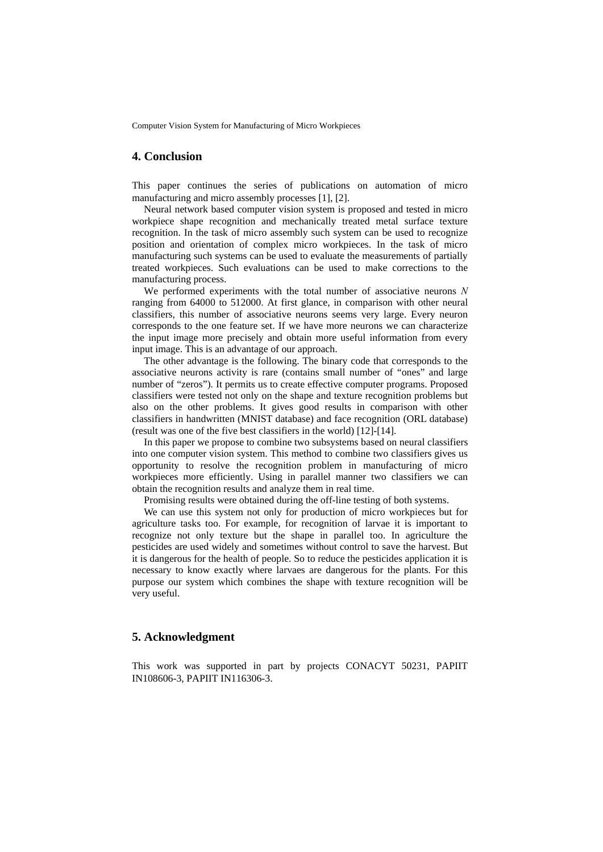## **4. Conclusion**

This paper continues the series of publications on automation of micro manufacturing and micro assembly processes [1], [2].

Neural network based computer vision system is proposed and tested in micro workpiece shape recognition and mechanically treated metal surface texture recognition. In the task of micro assembly such system can be used to recognize position and orientation of complex micro workpieces. In the task of micro manufacturing such systems can be used to evaluate the measurements of partially treated workpieces. Such evaluations can be used to make corrections to the manufacturing process.

We performed experiments with the total number of associative neurons *N* ranging from 64000 to 512000. At first glance, in comparison with other neural classifiers, this number of associative neurons seems very large. Every neuron corresponds to the one feature set. If we have more neurons we can characterize the input image more precisely and obtain more useful information from every input image. This is an advantage of our approach.

The other advantage is the following. The binary code that corresponds to the associative neurons activity is rare (contains small number of "ones" and large number of "zeros"). It permits us to create effective computer programs. Proposed classifiers were tested not only on the shape and texture recognition problems but also on the other problems. It gives good results in comparison with other classifiers in handwritten (MNIST database) and face recognition (ORL database) (result was one of the five best classifiers in the world) [12]-[14].

In this paper we propose to combine two subsystems based on neural classifiers into one computer vision system. This method to combine two classifiers gives us opportunity to resolve the recognition problem in manufacturing of micro workpieces more efficiently. Using in parallel manner two classifiers we can obtain the recognition results and analyze them in real time.

Promising results were obtained during the off-line testing of both systems.

We can use this system not only for production of micro workpieces but for agriculture tasks too. For example, for recognition of larvae it is important to recognize not only texture but the shape in parallel too. In agriculture the pesticides are used widely and sometimes without control to save the harvest. But it is dangerous for the health of people. So to reduce the pesticides application it is necessary to know exactly where larvaes are dangerous for the plants. For this purpose our system which combines the shape with texture recognition will be very useful.

### **5. Acknowledgment**

This work was supported in part by projects CONACYT 50231, PAPIIT IN108606-3, PAPIIT IN116306-3.